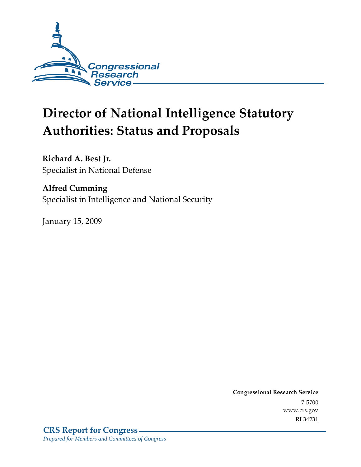

# **Director of National Intelligence Statutory Authorities: Status and Proposals**

Richard A. Best Jr. Specialist in National Defense

**Alfred Cumming** Specialist in Intelligence and National Security

January 15, 2009

Conglessional Research Service  $7 - 2700$ www.crs.gov RL34231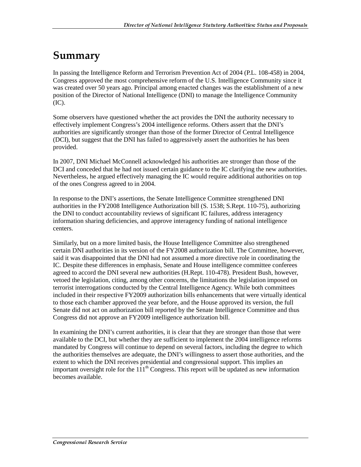## Summary

In passing the Intelligence Reform and Terrorism Prevention Act of 2004 (P.L. 108-458) in 2004, Congress approved the most comprehensive reform of the U.S. Intelligence Community since it was created over 50 years ago. Principal among enacted changes was the establishment of a new position of the Director of National Intelligence (DNI) to manage the Intelligence Community  $(IC).$ 

Some observers have questioned whether the act provides the DNI the authority necessary to effectively implement Congress's 2004 intelligence reforms. Others assert that the DNI's authorities are significantly stronger than those of the former Director of Central Intelligence (DCI), but suggest that the DNI has failed to aggressively assert the authorities he has been provided.

In 2007, DNI Michael McConnell acknowledged his authorities are stronger than those of the DCI and conceded that he had not issued certain guidance to the IC clarifying the new authorities. Nevertheless, he argued effectively managing the IC would require additional authorities on top of the ones Congress agreed to in 2004.

In response to the DNI's assertions, the Senate Intelligence Committee strengthened DNI authorities in the FY2008 Intelligence Authorization bill (S. 1538; S.Rept. 110-75), authorizing the DNI to conduct accountability reviews of significant IC failures, address interagency information sharing deficiencies, and approve interagency funding of national intelligence centers.

Similarly, but on a more limited basis, the House Intelligence Committee also strengthened certain DNI authorities in its version of the FY2008 authorization bill. The Committee, however, said it was disappointed that the DNI had not assumed a more directive role in coordinating the IC. Despite these differences in emphasis, Senate and House intelligence committee conferees agreed to accord the DNI several new authorities (H.Rept. 110-478). President Bush, however, vetoed the legislation, citing, among other concerns, the limitations the legislation imposed on terrorist interrogations conducted by the Central Intelligence Agency. While both committees included in their respective FY2009 authorization bills enhancements that were virtually identical to those each chamber approved the year before, and the House approved its version, the full Senate did not act on authorization bill reported by the Senate Intelligence Committee and thus Congress did not approve an FY2009 intelligence authorization bill.

In examining the DNI's current authorities, it is clear that they are stronger than those that were available to the DCI, but whether they are sufficient to implement the 2004 intelligence reforms mandated by Congress will continue to depend on several factors, including the degree to which the authorities themselves are adequate, the DNI's willingness to assert those authorities, and the extent to which the DNI receives presidential and congressional support. This implies an important oversight role for the  $111<sup>th</sup>$  Congress. This report will be updated as new information becomes available.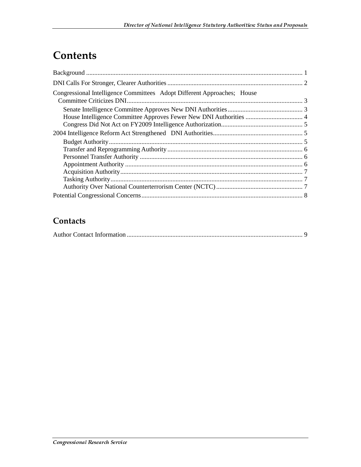## **Contents**

| Congressional Intelligence Committees Adopt Different Approaches; House |  |
|-------------------------------------------------------------------------|--|
|                                                                         |  |
|                                                                         |  |
|                                                                         |  |
|                                                                         |  |
|                                                                         |  |
|                                                                         |  |
|                                                                         |  |

### Contacts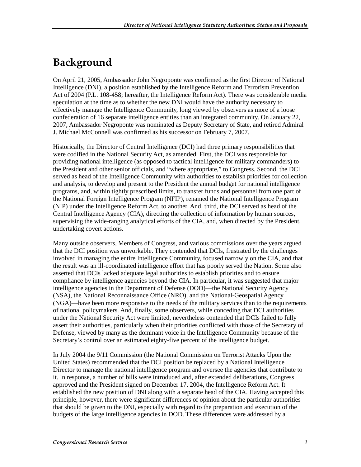# Background

On April 21, 2005, Ambassador John Negroponte was confirmed as the first Director of National Intelligence (DNI), a position established by the Intelligence Reform and Terrorism Prevention Act of 2004 (P.L. 108-458; hereafter, the Intelligence Reform Act). There was considerable media speculation at the time as to whether the new DNI would have the authority necessary to effectively manage the Intelligence Community, long viewed by observers as more of a loose confederation of 16 separate intelligence entities than an integrated community. On January 22, 2007, Ambassador Negroponte was nominated as Deputy Secretary of State, and retired Admiral J. Michael McConnell was confirmed as his successor on February 7, 2007.

Historically, the Director of Central Intelligence (DCI) had three primary responsibilities that were codified in the National Security Act, as amended. First, the DCI was responsible for providing national intelligence (as opposed to tactical intelligence for military commanders) to the President and other senior officials, and "where appropriate," to Congress. Second, the DCI served as head of the Intelligence Community with authorities to establish priorities for collection and analysis, to develop and present to the President the annual budget for national intelligence programs, and, within tightly prescribed limits, to transfer funds and personnel from one part of the National Foreign Intelligence Program (NFIP), renamed the National Intelligence Program (NIP) under the Intelligence Reform Act, to another. And, third, the DCI served as head of the Central Intelligence Agency (CIA), directing the collection of information by human sources, supervising the wide-ranging analytical efforts of the CIA, and, when directed by the President, undertaking covert actions.

Many outside observers, Members of Congress, and various commissions over the years argued that the DCI position was unworkable. They contended that DCIs, frustrated by the challenges involved in managing the entire Intelligence Community, focused narrowly on the CIA, and that the result was an ill-coordinated intelligence effort that has poorly served the Nation. Some also asserted that DCIs lacked adequate legal authorities to establish priorities and to ensure compliance by intelligence agencies beyond the CIA. In particular, it was suggested that major intelligence agencies in the Department of Defense (DOD)—the National Security Agency (NSA), the National Reconnaissance Office (NRO), and the National-Geospatial Agency (NGA)—have been more responsive to the needs of the military services than to the requirements of national policymakers. And, finally, some observers, while conceding that DCI authorities under the National Security Act were limited, nevertheless contended that DCIs failed to fully assert their authorities, particularly when their priorities conflicted with those of the Secretary of Defense, viewed by many as the dominant voice in the Intelligence Community because of the Secretary's control over an estimated eighty-five percent of the intelligence budget.

In July 2004 the 9/11 Commission (the National Commission on Terrorist Attacks Upon the United States) recommended that the DCI position be replaced by a National Intelligence Director to manage the national intelligence program and oversee the agencies that contribute to it. In response, a number of bills were introduced and, after extended deliberations, Congress approved and the President signed on December 17, 2004, the Intelligence Reform Act. It established the new position of DNI along with a separate head of the CIA. Having accepted this principle, however, there were significant differences of opinion about the particular authorities that should be given to the DNI, especially with regard to the preparation and execution of the budgets of the large intelligence agencies in DOD. These differences were addressed by a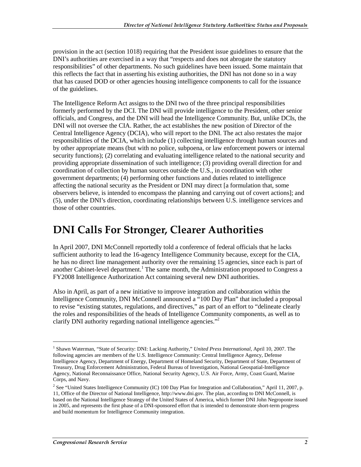provision in the act (section 1018) requiring that the President issue guidelines to ensure that the DNI's authorities are exercised in a way that "respects and does not abrogate the statutory responsibilities" of other departments. No such guidelines have been issued. Some maintain that this reflects the fact that in asserting his existing authorities, the DNI has not done so in a way that has caused DOD or other agencies housing intelligence components to call for the issuance of the guidelines.

The Intelligence Reform Act assigns to the DNI two of the three principal responsibilities formerly performed by the DCI. The DNI will provide intelligence to the President, other senior officials, and Congress, and the DNI will head the Intelligence Community. But, unlike DCIs, the DNI will not oversee the CIA. Rather, the act establishes the new position of Director of the Central Intelligence Agency (DCIA), who will report to the DNI. The act also restates the major responsibilities of the DCIA, which include (1) collecting intelligence through human sources and by other appropriate means (but with no police, subpoena, or law enforcement powers or internal security functions); (2) correlating and evaluating intelligence related to the national security and providing appropriate dissemination of such intelligence; (3) providing overall direction for and coordination of collection by human sources outside the U.S., in coordination with other government departments; (4) performing other functions and duties related to intelligence affecting the national security as the President or DNI may direct [a formulation that, some observers believe, is intended to encompass the planning and carrying out of covert actions]; and (5), under the DNI's direction, coordinating relationships between U.S. intelligence services and those of other countries.

### **DNI Calls For Stronger, Clearer Authorities**

In April 2007, DNI McConnell reportedly told a conference of federal officials that he lacks sufficient authority to lead the 16-agency Intelligence Community because, except for the CIA, he has no direct line management authority over the remaining 15 agencies, since each is part of another Cabinet-level department.<sup>1</sup> The same month, the Administration proposed to Congress a FY2008 Intelligence Authorization Act containing several new DNI authorities.

Also in April, as part of a new initiative to improve integration and collaboration within the Intelligence Community, DNI McConnell announced a "100 Day Plan" that included a proposal to revise "existing statutes, regulations, and directives," as part of an effort to "delineate clearly the roles and responsibilities of the heads of Intelligence Community components, as well as to clarify DNI authority regarding national intelligence agencies."2

 $\overline{a}$ 

<sup>&</sup>lt;sup>1</sup> Shawn Waterman, "State of Security: DNI: Lacking Authority," *United Press International*, April 10, 2007. The following agencies are members of the U.S. Intelligence Community: Central Intelligence Agency, Defense Intelligence Agency, Department of Energy, Department of Homeland Security, Department of State, Department of Treasury, Drug Enforcement Administration, Federal Bureau of Investigation, National Geospatial-Intelligence Agency, National Reconnaissance Office, National Security Agency, U.S. Air Force, Army, Coast Guard, Marine Corps, and Navy.

<sup>&</sup>lt;sup>2</sup> See "United States Intelligence Community (IC) 100 Day Plan for Integration and Collaboration," April 11, 2007, p. 11, Office of the Director of National Intelligence, http://www.dni.gov. The plan, according to DNI McConnell, is based on the National Intelligence Strategy of the United States of America, which former DNI John Negroponte issued in 2005, and represents the first phase of a DNI-sponsored effort that is intended to demonstrate short-term progress and build momentum for Intelligence Community integration.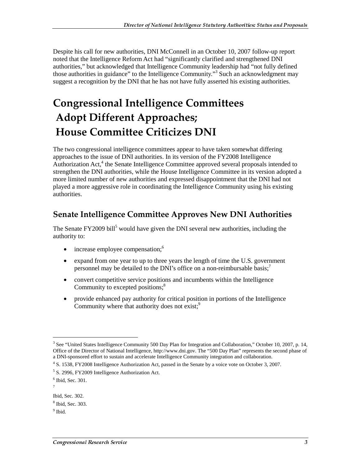Despite his call for new authorities, DNI McConnell in an October 10, 2007 follow-up report noted that the Intelligence Reform Act had "significantly clarified and strengthened DNI authorities," but acknowledged that Intelligence Community leadership had "not fully defined those authorities in guidance" to the Intelligence Community."<sup>3</sup> Such an acknowledgment may suggest a recognition by the DNI that he has not have fully asserted his existing authorities.

# **Congressional Intelligence Committees Adopt Different Approaches;** House Committee Criticizes DNI

The two congressional intelligence committees appear to have taken somewhat differing approaches to the issue of DNI authorities. In its version of the FY2008 Intelligence Authorization Act,<sup>4</sup> the Senate Intelligence Committee approved several proposals intended to strengthen the DNI authorities, while the House Intelligence Committee in its version adopted a more limited number of new authorities and expressed disappointment that the DNI had not played a more aggressive role in coordinating the Intelligence Community using his existing authorities.

### **Senate Intelligence Committee Approves New DNI Authorities**

The Senate  $FY2009$  bill<sup>5</sup> would have given the DNI several new authorities, including the authority to:

- $\bullet$  increase employee compensation;<sup>6</sup>
- expand from one year to up to three years the length of time the U.S. government personnel may be detailed to the DNI's office on a non-reimbursable basis;<sup>7</sup>
- convert competitive service positions and incumbents within the Intelligence Community to excepted positions;<sup>8</sup>
- provide enhanced pay authority for critical position in portions of the Intelligence Community where that authority does not exist;<sup>9</sup>

j

<sup>&</sup>lt;sup>3</sup> See "United States Intelligence Community 500 Day Plan for Integration and Collaboration," October 10, 2007, p. 14, Office of the Director of National Intelligence, http://www.dni.gov. The "500 Day Plan" represents the second phase of a DNI-sponsored effort to sustain and accelerate Intelligence Community integration and collaboration.

<sup>4</sup> S. 1538, FY2008 Intelligence Authorization Act, passed in the Senate by a voice vote on October 3, 2007.

<sup>&</sup>lt;sup>5</sup> S. 2996, FY2009 Intelligence Authorization Act.

<sup>6</sup> Ibid, Sec. 301.

<sup>7</sup>

Ibid, Sec. 302. 8 Ibid, Sec. 303.

<sup>&</sup>lt;sup>9</sup> Ibid.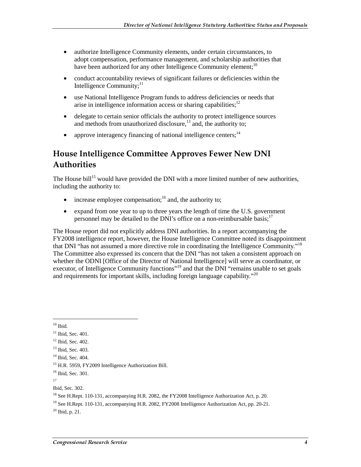- authorize Intelligence Community elements, under certain circumstances, to adopt compensation, performance management, and scholarship authorities that have been authorized for any other Intelligence Community element:<sup>10</sup>
- conduct accountability reviews of significant failures or deficiencies within the Intelligence Community; $^{11}$
- use National Intelligence Program funds to address deficiencies or needs that arise in intelligence information access or sharing capabilities; $<sup>12</sup>$ </sup>
- delegate to certain senior officials the authority to protect intelligence sources and methods from unauthorized disclosure, $13$  and, the authority to;
- approve interagency financing of national intelligence centers;  $14$

### House Intelligence Committee Approves Fewer New DNI Authorities

The House bill<sup>15</sup> would have provided the DNI with a more limited number of new authorities, including the authority to:

- increase employee compensation; $^{16}$  and, the authority to;
- expand from one year to up to three years the length of time the U.S. government personnel may be detailed to the DNI's office on a non-reimbursable basis;<sup>17</sup>

The House report did not explicitly address DNI authorities. In a report accompanying the FY2008 intelligence report, however, the House Intelligence Committee noted its disappointment that DNI "has not assumed a more directive role in coordinating the Intelligence Community."<sup>18</sup> The Committee also expressed its concern that the DNI "has not taken a consistent approach on whether the ODNI [Office of the Director of National Intelligence] will serve as coordinator, or executor, of Intelligence Community functions<sup>"19</sup> and that the DNI "remains unable to set goals and requirements for important skills, including foreign language capability."<sup>20</sup>

 $10$  Ibid.

j

17

Ibid, Sec. 302.

 $20$  Ibid, p. 21.

 $11$  Ibid, Sec. 401.

<sup>&</sup>lt;sup>12</sup> Ibid, Sec. 402.

<sup>&</sup>lt;sup>13</sup> Ibid, Sec. 403.

<sup>&</sup>lt;sup>14</sup> Ibid, Sec. 404.

<sup>15</sup> H.R. 5959, FY2009 Intelligence Authorization Bill.

<sup>&</sup>lt;sup>16</sup> Ibid, Sec. 301.

<sup>&</sup>lt;sup>18</sup> See H.Rept. 110-131, accompanying H.R. 2082, the FY2008 Intelligence Authorization Act, p. 20.

<sup>19</sup> See H.Rept. 110-131, accompanying H.R. 2082, FY2008 Intelligence Authorization Act, pp. 20-21.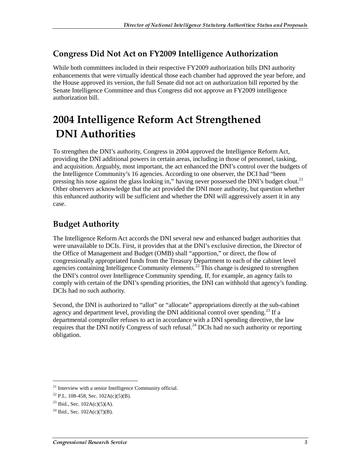#### Congress Did Not Act on FY2009 Intelligence Authorization

While both committees included in their respective FY2009 authorization bills DNI authority enhancements that were virtually identical those each chamber had approved the year before, and the House approved its version, the full Senate did not act on authorization bill reported by the Senate Intelligence Committee and thus Congress did not approve an FY2009 intelligence authorization bill.

# 2004 Intelligence Reform Act Strengthened **DNI Authorities**

To strengthen the DNI's authority, Congress in 2004 approved the Intelligence Reform Act, providing the DNI additional powers in certain areas, including in those of personnel, tasking, and acquisition. Arguably, most important, the act enhanced the DNI's control over the budgets of the Intelligence Community's 16 agencies. According to one observer, the DCI had "been pressing his nose against the glass looking in," having never possessed the DNI's budget clout.<sup>21</sup> Other observers acknowledge that the act provided the DNI more authority, but question whether this enhanced authority will be sufficient and whether the DNI will aggressively assert it in any case.

### **Budget Authority**

The Intelligence Reform Act accords the DNI several new and enhanced budget authorities that were unavailable to DCIs. First, it provides that at the DNI's exclusive direction, the Director of the Office of Management and Budget (OMB) shall "apportion," or direct, the flow of congressionally appropriated funds from the Treasury Department to each of the cabinet level agencies containing Intelligence Community elements.22 This change is designed to strengthen the DNI's control over Intelligence Community spending. If, for example, an agency fails to comply with certain of the DNI's spending priorities, the DNI can withhold that agency's funding. DCIs had no such authority.

Second, the DNI is authorized to "allot" or "allocate" appropriations directly at the sub-cabinet agency and department level, providing the DNI additional control over spending.<sup>23</sup> If a departmental comptroller refuses to act in accordance with a DNI spending directive, the law requires that the DNI notify Congress of such refusal.<sup>24</sup> DCIs had no such authority or reporting obligation.

j

 $21$  Interview with a senior Intelligence Community official.

<sup>&</sup>lt;sup>22</sup> P.L. 108-458, Sec. 102A(c)(5)(B).

 $^{23}$  Ibid., Sec. 102A(c)(5)(A).

 $^{24}$  Ibid., Sec. 102A(c)(7)(B).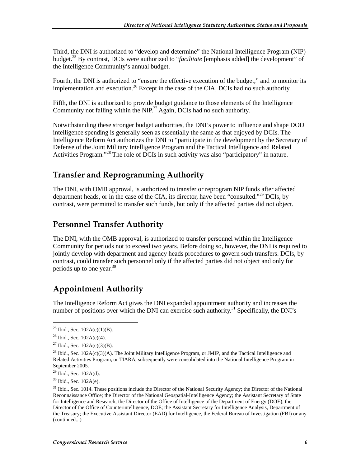Third, the DNI is authorized to "develop and determine" the National Intelligence Program (NIP) budget.25 By contrast, DCIs were authorized to "*facilitate* [emphasis added] the development" of the Intelligence Community's annual budget.

Fourth, the DNI is authorized to "ensure the effective execution of the budget," and to monitor its implementation and execution.<sup>26</sup> Except in the case of the CIA, DCIs had no such authority.

Fifth, the DNI is authorized to provide budget guidance to those elements of the Intelligence Community not falling within the  $NIP<sup>27</sup>$  Again, DCIs had no such authority.

Notwithstanding these stronger budget authorities, the DNI's power to influence and shape DOD intelligence spending is generally seen as essentially the same as that enjoyed by DCIs. The Intelligence Reform Act authorizes the DNI to "participate in the development by the Secretary of Defense of the Joint Military Intelligence Program and the Tactical Intelligence and Related Activities Program."<sup>28</sup> The role of DCIs in such activity was also "participatory" in nature.

### Transfer and Reprogramming Authority

The DNI, with OMB approval, is authorized to transfer or reprogram NIP funds after affected department heads, or in the case of the CIA, its director, have been "consulted."<sup>29</sup> DCIs, by contrast, were permitted to transfer such funds, but only if the affected parties did not object.

#### Personnel Transfer Authority

The DNI, with the OMB approval, is authorized to transfer personnel within the Intelligence Community for periods not to exceed two years. Before doing so, however, the DNI is required to jointly develop with department and agency heads procedures to govern such transfers. DCIs, by contrast, could transfer such personnel only if the affected parties did not object and only for periods up to one year. $30$ 

### **Appointment Authority**

The Intelligence Reform Act gives the DNI expanded appointment authority and increases the number of positions over which the DNI can exercise such authority.<sup>31</sup> Specifically, the DNI's

j

 $^{25}$  Ibid., Sec. 102A(c)(1)(B).

 $26$  Ibid., Sec. 102A(c)(4).

 $^{27}$  Ibid., Sec. 102A(c)(3)(B).

<sup>&</sup>lt;sup>28</sup> Ibid., Sec. 102A(c)(3)(A). The Joint Military Intelligence Program, or JMIP, and the Tactical Intelligence and Related Activities Program, or TIARA, subsequently were consolidated into the National Intelligence Program in September 2005.

 $29$  Ibid., Sec. 102A(d).

<sup>30</sup> Ibid., Sec. 102A(e).

<sup>&</sup>lt;sup>31</sup> Ibid., Sec. 1014. These positions include the Director of the National Security Agency; the Director of the National Reconnaissance Office; the Director of the National Geospatial-Intelligence Agency; the Assistant Secretary of State for Intelligence and Research; the Director of the Office of Intelligence of the Department of Energy (DOE), the Director of the Office of Counterintelligence, DOE; the Assistant Secretary for Intelligence Analysis, Department of the Treasury; the Executive Assistant Director (EAD) for Intelligence, the Federal Bureau of Investigation (FBI) or any (continued...)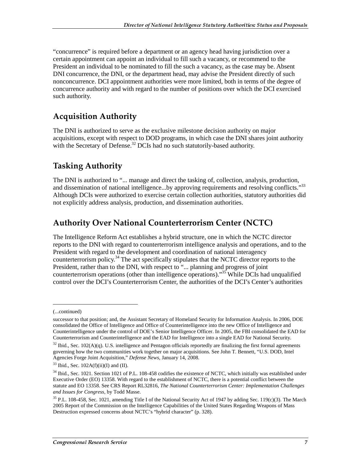"concurrence" is required before a department or an agency head having jurisdiction over a certain appointment can appoint an individual to fill such a vacancy, or recommend to the President an individual to be nominated to fill the such a vacancy, as the case may be. Absent DNI concurrence, the DNI, or the department head, may advise the President directly of such nonconcurrence. DCI appointment authorities were more limited, both in terms of the degree of concurrence authority and with regard to the number of positions over which the DCI exercised such authority.

### Acquisition Authority

The DNI is authorized to serve as the exclusive milestone decision authority on major acquisitions, except with respect to DOD programs, in which case the DNI shares joint authority with the Secretary of Defense.<sup>32</sup> DCIs had no such statutorily-based authority.

### Tasking Authority

The DNI is authorized to "... manage and direct the tasking of, collection, analysis, production, and dissemination of national intelligence...by approving requirements and resolving conflicts."33 Although DCIs were authorized to exercise certain collection authorities, statutory authorities did not explicitly address analysis, production, and dissemination authorities.

### Authority Over National Counterterrorism Center (NCTC)

The Intelligence Reform Act establishes a hybrid structure, one in which the NCTC director reports to the DNI with regard to counterterrorism intelligence analysis and operations, and to the President with regard to the development and coordination of national interagency counterterrorism policy.<sup>34</sup> The act specifically stipulates that the NCTC director reports to the President, rather than to the DNI, with respect to "... planning and progress of joint counterterrorism operations (other than intelligence operations).<sup>35</sup> While DCIs had unqualified control over the DCI's Counterterrorism Center, the authorities of the DCI's Center's authorities

 $\overline{a}$ 

<sup>(...</sup>continued)

successor to that position; and, the Assistant Secretary of Homeland Security for Information Analysis. In 2006, DOE consolidated the Office of Intelligence and Office of Counterintelligence into the new Office of Intelligence and Counterintelligence under the control of DOE's Senior Intelligence Officer. In 2005, the FBI consolidated the EAD for Counterterrorism and Counterintelligence and the EAD for Intelligence into a single EAD for National Security.

 $32$  Ibid., Sec. 102(A)(q). U.S. intelligence and Pentagon officials reportedly are finalizing the first formal agreements governing how the two communities work together on major acquisitions. See John T. Bennett, "U.S. DOD, Intel Agencies Forge Joint Acquisition," *Defense News*, January 14, 2008.

 $33$  Ibid., Sec. 102A(f)(ii)(I) and (II).

<sup>&</sup>lt;sup>34</sup> Ibid., Sec. 1021. Section 1021 of P.L. 108-458 codifies the existence of NCTC, which initially was established under Executive Order (EO) 13358. With regard to the establishment of NCTC, there is a potential conflict between the statute and EO 13358. See CRS Report RL32816, *The National Counterterrorism Center: Implementation Challenges and Issues for Congress*, by Todd Masse.

<sup>35</sup> P.L. 108-458, Sec. 1021, amending Title I of the National Security Act of 1947 by adding Sec. 119(c)(3). The March 2005 Report of the Commission on the Intelligence Capabilities of the United States Regarding Weapons of Mass Destruction expressed concerns about NCTC's "hybrid character" (p. 328).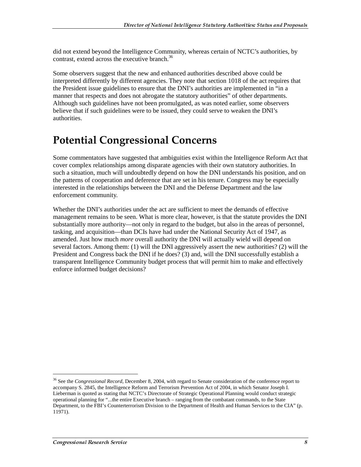did not extend beyond the Intelligence Community, whereas certain of NCTC's authorities, by contrast, extend across the executive branch.<sup>36</sup>

Some observers suggest that the new and enhanced authorities described above could be interpreted differently by different agencies. They note that section 1018 of the act requires that the President issue guidelines to ensure that the DNI's authorities are implemented in "in a manner that respects and does not abrogate the statutory authorities" of other departments. Although such guidelines have not been promulgated, as was noted earlier, some observers believe that if such guidelines were to be issued, they could serve to weaken the DNI's authorities.

### **Potential Congressional Concerns**

Some commentators have suggested that ambiguities exist within the Intelligence Reform Act that cover complex relationships among disparate agencies with their own statutory authorities. In such a situation, much will undoubtedly depend on how the DNI understands his position, and on the patterns of cooperation and deference that are set in his tenure. Congress may be especially interested in the relationships between the DNI and the Defense Department and the law enforcement community.

Whether the DNI's authorities under the act are sufficient to meet the demands of effective management remains to be seen. What is more clear, however, is that the statute provides the DNI substantially more authority—not only in regard to the budget, but also in the areas of personnel, tasking, and acquisition—than DCIs have had under the National Security Act of 1947, as amended. Just how much *more* overall authority the DNI will actually wield will depend on several factors. Among them: (1) will the DNI aggressively assert the new authorities? (2) will the President and Congress back the DNI if he does? (3) and, will the DNI successfully establish a transparent Intelligence Community budget process that will permit him to make and effectively enforce informed budget decisions?

 $\overline{a}$ 

<sup>36</sup> See the *Congressional Record*, December 8, 2004, with regard to Senate consideration of the conference report to accompany S. 2845, the Intelligence Reform and Terrorism Prevention Act of 2004, in which Senator Joseph I. Lieberman is quoted as stating that NCTC's Directorate of Strategic Operational Planning would conduct strategic operational planning for "...the entire Executive branch – ranging from the combatant commands, to the State Department, to the FBI's Counterterrorism Division to the Department of Health and Human Services to the CIA" (p. 11971).